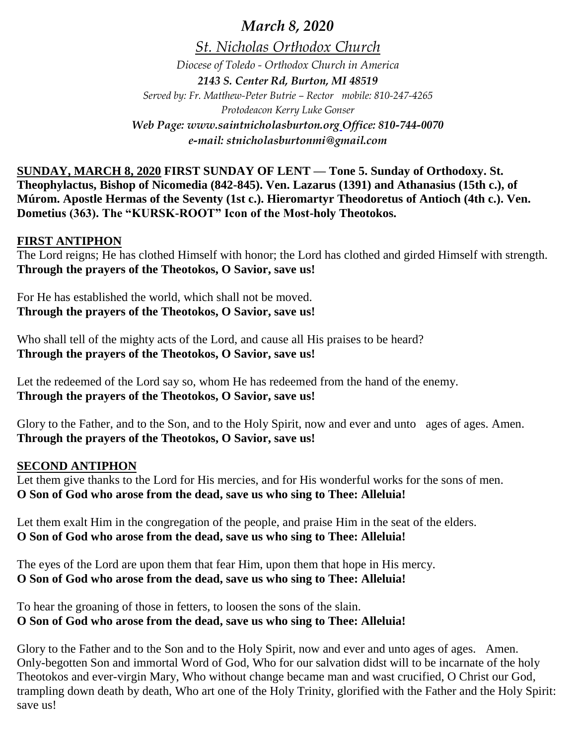*March 8, 2020*

*St. Nicholas Orthodox Church*

*Diocese of Toledo - Orthodox Church in America 2143 S. Center Rd, Burton, MI 48519 Served by: Fr. Matthew-Peter Butrie – Rector mobile: 810-247-4265 Protodeacon Kerry Luke Gonser Web Page: www.saintnicholasburton.org Office: 810-744-0070 e-mail: stnicholasburtonmi@gmail.com*

**SUNDAY, MARCH 8, 2020 FIRST SUNDAY OF LENT — Tone 5. Sunday of Orthodoxy. St. Theophylactus, Bishop of Nicomedia (842-845). Ven. Lazarus (1391) and Athanasius (15th c.), of Múrom. Apostle Hermas of the Seventy (1st c.). Hieromartyr Theodoretus of Antioch (4th c.). Ven. Dometius (363). The "KURSK-ROOT" Icon of the Most-holy Theotokos.**

### **FIRST ANTIPHON**

The Lord reigns; He has clothed Himself with honor; the Lord has clothed and girded Himself with strength. **Through the prayers of the Theotokos, O Savior, save us!**

For He has established the world, which shall not be moved. **Through the prayers of the Theotokos, O Savior, save us!**

Who shall tell of the mighty acts of the Lord, and cause all His praises to be heard? **Through the prayers of the Theotokos, O Savior, save us!**

Let the redeemed of the Lord say so, whom He has redeemed from the hand of the enemy. **Through the prayers of the Theotokos, O Savior, save us!**

Glory to the Father, and to the Son, and to the Holy Spirit, now and ever and unto ages of ages. Amen. **Through the prayers of the Theotokos, O Savior, save us!**

### **SECOND ANTIPHON**

Let them give thanks to the Lord for His mercies, and for His wonderful works for the sons of men. **O Son of God who arose from the dead, save us who sing to Thee: Alleluia!**

Let them exalt Him in the congregation of the people, and praise Him in the seat of the elders. **O Son of God who arose from the dead, save us who sing to Thee: Alleluia!**

The eyes of the Lord are upon them that fear Him, upon them that hope in His mercy. **O Son of God who arose from the dead, save us who sing to Thee: Alleluia!**

To hear the groaning of those in fetters, to loosen the sons of the slain. **O Son of God who arose from the dead, save us who sing to Thee: Alleluia!**

Glory to the Father and to the Son and to the Holy Spirit, now and ever and unto ages of ages. Amen. Only-begotten Son and immortal Word of God, Who for our salvation didst will to be incarnate of the holy Theotokos and ever-virgin Mary, Who without change became man and wast crucified, O Christ our God, trampling down death by death, Who art one of the Holy Trinity, glorified with the Father and the Holy Spirit: save us!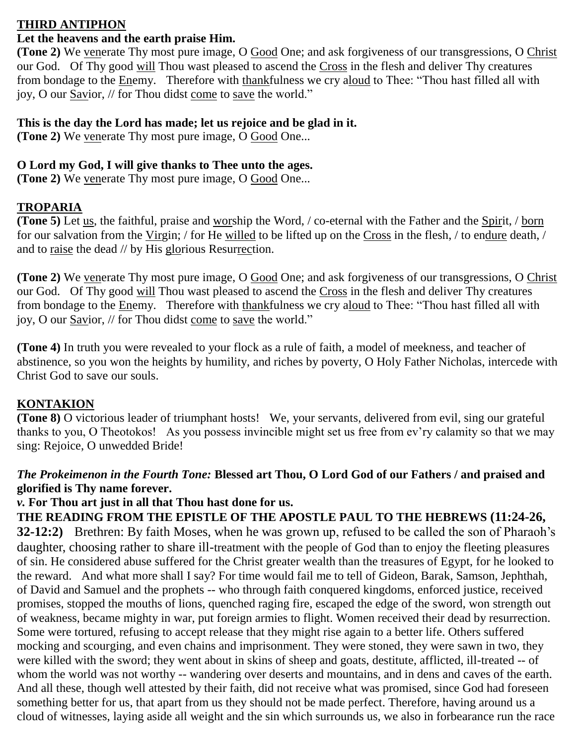## **THIRD ANTIPHON**

### **Let the heavens and the earth praise Him.**

**(Tone 2)** We venerate Thy most pure image, O Good One; and ask forgiveness of our transgressions, O Christ our God. Of Thy good will Thou wast pleased to ascend the Cross in the flesh and deliver Thy creatures from bondage to the Enemy. Therefore with thankfulness we cry aloud to Thee: "Thou hast filled all with joy, O our Savior, // for Thou didst come to save the world."

## **This is the day the Lord has made; let us rejoice and be glad in it.**

**(Tone 2)** We venerate Thy most pure image, O Good One...

# **O Lord my God, I will give thanks to Thee unto the ages.**

**(Tone 2)** We venerate Thy most pure image, O Good One...

# **TROPARIA**

**(Tone 5)** Let <u>us</u>, the faithful, praise and worship the Word, */* co-eternal with the Father and the Spirit, */* born for our salvation from the Virgin; / for He willed to be lifted up on the Cross in the flesh, / to endure death, / and to raise the dead // by His glorious Resurrection.

**(Tone 2)** We venerate Thy most pure image, O Good One; and ask forgiveness of our transgressions, O Christ our God. Of Thy good will Thou wast pleased to ascend the Cross in the flesh and deliver Thy creatures from bondage to the Enemy. Therefore with thankfulness we cry aloud to Thee: "Thou hast filled all with joy, O our Savior, // for Thou didst come to save the world."

**(Tone 4)** In truth you were revealed to your flock as a rule of faith, a model of meekness, and teacher of abstinence, so you won the heights by humility, and riches by poverty, O Holy Father Nicholas, intercede with Christ God to save our souls.

# **KONTAKION**

**(Tone 8)** O victorious leader of triumphant hosts! We, your servants, delivered from evil, sing our grateful thanks to you, O Theotokos! As you possess invincible might set us free from ev'ry calamity so that we may sing: Rejoice, O unwedded Bride!

# *The Prokeimenon in the Fourth Tone:* **Blessed art Thou, O Lord God of our Fathers / and praised and glorified is Thy name forever.**

# *v.* **For Thou art just in all that Thou hast done for us.**

**THE READING FROM THE EPISTLE OF THE APOSTLE PAUL TO THE HEBREWS (11:24-26, 32-12:2)** Brethren: By faith Moses, when he was grown up, refused to be called the son of Pharaoh's daughter, choosing rather to share ill-treatment with the people of God than to enjoy the fleeting pleasures of sin. He considered abuse suffered for the Christ greater wealth than the treasures of Egypt, for he looked to the reward. And what more shall I say? For time would fail me to tell of Gideon, Barak, Samson, Jephthah, of David and Samuel and the prophets -- who through faith conquered kingdoms, enforced justice, received promises, stopped the mouths of lions, quenched raging fire, escaped the edge of the sword, won strength out of weakness, became mighty in war, put foreign armies to flight. Women received their dead by resurrection. Some were tortured, refusing to accept release that they might rise again to a better life. Others suffered mocking and scourging, and even chains and imprisonment. They were stoned, they were sawn in two, they were killed with the sword; they went about in skins of sheep and goats, destitute, afflicted, ill-treated -- of whom the world was not worthy -- wandering over deserts and mountains, and in dens and caves of the earth. And all these, though well attested by their faith, did not receive what was promised, since God had foreseen something better for us, that apart from us they should not be made perfect. Therefore, having around us a cloud of witnesses, laying aside all weight and the sin which surrounds us, we also in forbearance run the race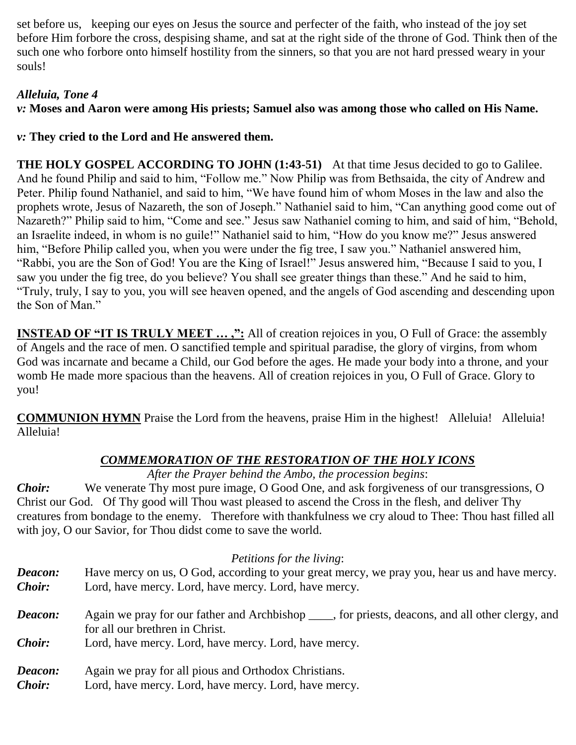set before us, keeping our eyes on Jesus the source and perfecter of the faith, who instead of the joy set before Him forbore the cross, despising shame, and sat at the right side of the throne of God. Think then of the such one who forbore onto himself hostility from the sinners, so that you are not hard pressed weary in your souls!

# *Alleluia, Tone 4*

*v:* **Moses and Aaron were among His priests; Samuel also was among those who called on His Name.**

*v:* **They cried to the Lord and He answered them.**

**THE HOLY GOSPEL ACCORDING TO JOHN (1:43-51)** At that time Jesus decided to go to Galilee. And he found Philip and said to him, "Follow me." Now Philip was from Bethsaida, the city of Andrew and Peter. Philip found Nathaniel, and said to him, "We have found him of whom Moses in the law and also the prophets wrote, Jesus of Nazareth, the son of Joseph." Nathaniel said to him, "Can anything good come out of Nazareth?" Philip said to him, "Come and see." Jesus saw Nathaniel coming to him, and said of him, "Behold, an Israelite indeed, in whom is no guile!" Nathaniel said to him, "How do you know me?" Jesus answered him, "Before Philip called you, when you were under the fig tree, I saw you." Nathaniel answered him, "Rabbi, you are the Son of God! You are the King of Israel!" Jesus answered him, "Because I said to you, I saw you under the fig tree, do you believe? You shall see greater things than these." And he said to him, "Truly, truly, I say to you, you will see heaven opened, and the angels of God ascending and descending upon the Son of Man."

**INSTEAD OF "IT IS TRULY MEET ...,":** All of creation rejoices in you, O Full of Grace: the assembly of Angels and the race of men. O sanctified temple and spiritual paradise, the glory of virgins, from whom God was incarnate and became a Child, our God before the ages. He made your body into a throne, and your womb He made more spacious than the heavens. All of creation rejoices in you, O Full of Grace. Glory to you!

**COMMUNION HYMN** Praise the Lord from the heavens, praise Him in the highest! Alleluia! Alleluia! Alleluia!

# *COMMEMORATION OF THE RESTORATION OF THE HOLY ICONS*

*After the Prayer behind the Ambo, the procession begins*:

*Choir:* We venerate Thy most pure image, O Good One, and ask forgiveness of our transgressions, O Christ our God. Of Thy good will Thou wast pleased to ascend the Cross in the flesh, and deliver Thy creatures from bondage to the enemy. Therefore with thankfulness we cry aloud to Thee: Thou hast filled all with joy, O our Savior, for Thou didst come to save the world.

# *Petitions for the living*:

| Deacon:<br><i>Choir:</i> | Have mercy on us, O God, according to your great mercy, we pray you, hear us and have mercy.<br>Lord, have mercy. Lord, have mercy. Lord, have mercy. |  |  |
|--------------------------|-------------------------------------------------------------------------------------------------------------------------------------------------------|--|--|
| Deacon:                  | Again we pray for our father and Archbishop _____, for priests, deacons, and all other clergy, and<br>for all our brethren in Christ.                 |  |  |
| <b>Choir:</b>            | Lord, have mercy. Lord, have mercy. Lord, have mercy.                                                                                                 |  |  |
| Deacon:                  | Again we pray for all pious and Orthodox Christians.                                                                                                  |  |  |

*Choir:* Lord, have mercy. Lord, have mercy. Lord, have mercy.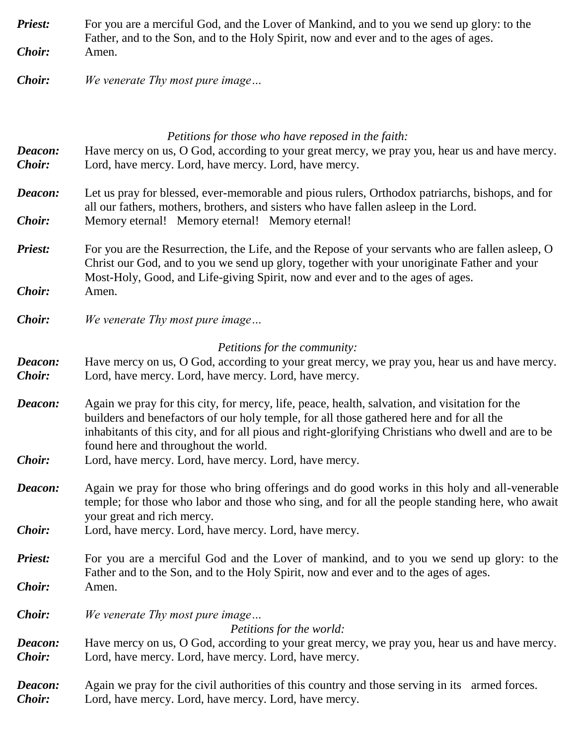- **Priest:** For you are a merciful God, and the Lover of Mankind, and to you we send up glory: to the Father, and to the Son, and to the Holy Spirit, now and ever and to the ages of ages. *Choir:* Amen.
- *Choir: We venerate Thy most pure image…*

## *Petitions for those who have reposed in the faith:*

| Deacon:<br><b>Choir:</b> | Have mercy on us, O God, according to your great mercy, we pray you, hear us and have mercy.<br>Lord, have mercy. Lord, have mercy. Lord, have mercy.                                                                                                                                                                                     |  |  |
|--------------------------|-------------------------------------------------------------------------------------------------------------------------------------------------------------------------------------------------------------------------------------------------------------------------------------------------------------------------------------------|--|--|
| Deacon:                  | Let us pray for blessed, ever-memorable and pious rulers, Orthodox patriarchs, bishops, and for<br>all our fathers, mothers, brothers, and sisters who have fallen asleep in the Lord.                                                                                                                                                    |  |  |
| <b>Choir:</b>            | Memory eternal! Memory eternal! Memory eternal!                                                                                                                                                                                                                                                                                           |  |  |
| <b>Priest:</b>           | For you are the Resurrection, the Life, and the Repose of your servants who are fallen asleep, O<br>Christ our God, and to you we send up glory, together with your unoriginate Father and your<br>Most-Holy, Good, and Life-giving Spirit, now and ever and to the ages of ages.                                                         |  |  |
| <b>Choir:</b>            | Amen.                                                                                                                                                                                                                                                                                                                                     |  |  |
| Choir:                   | We venerate Thy most pure image                                                                                                                                                                                                                                                                                                           |  |  |
|                          | Petitions for the community:                                                                                                                                                                                                                                                                                                              |  |  |
| Deacon:<br>Choir:        | Have mercy on us, O God, according to your great mercy, we pray you, hear us and have mercy.<br>Lord, have mercy. Lord, have mercy. Lord, have mercy.                                                                                                                                                                                     |  |  |
| Deacon:                  | Again we pray for this city, for mercy, life, peace, health, salvation, and visitation for the<br>builders and benefactors of our holy temple, for all those gathered here and for all the<br>inhabitants of this city, and for all pious and right-glorifying Christians who dwell and are to be<br>found here and throughout the world. |  |  |
| <b>Choir:</b>            | Lord, have mercy. Lord, have mercy. Lord, have mercy.                                                                                                                                                                                                                                                                                     |  |  |
| Deacon:                  | Again we pray for those who bring offerings and do good works in this holy and all-venerable<br>temple; for those who labor and those who sing, and for all the people standing here, who await<br>your great and rich mercy.                                                                                                             |  |  |
| Choir:                   | Lord, have mercy. Lord, have mercy. Lord, have mercy.                                                                                                                                                                                                                                                                                     |  |  |
| <b>Priest:</b>           | For you are a merciful God and the Lover of mankind, and to you we send up glory: to the<br>Father and to the Son, and to the Holy Spirit, now and ever and to the ages of ages.                                                                                                                                                          |  |  |
| Choir:                   | Amen.                                                                                                                                                                                                                                                                                                                                     |  |  |
| Choir:                   | We venerate Thy most pure image<br>Petitions for the world:                                                                                                                                                                                                                                                                               |  |  |
| Deacon:<br>Choir:        | Have mercy on us, O God, according to your great mercy, we pray you, hear us and have mercy.<br>Lord, have mercy. Lord, have mercy. Lord, have mercy.                                                                                                                                                                                     |  |  |
| Deacon:<br><b>Choir:</b> | Again we pray for the civil authorities of this country and those serving in its armed forces.<br>Lord, have mercy. Lord, have mercy. Lord, have mercy.                                                                                                                                                                                   |  |  |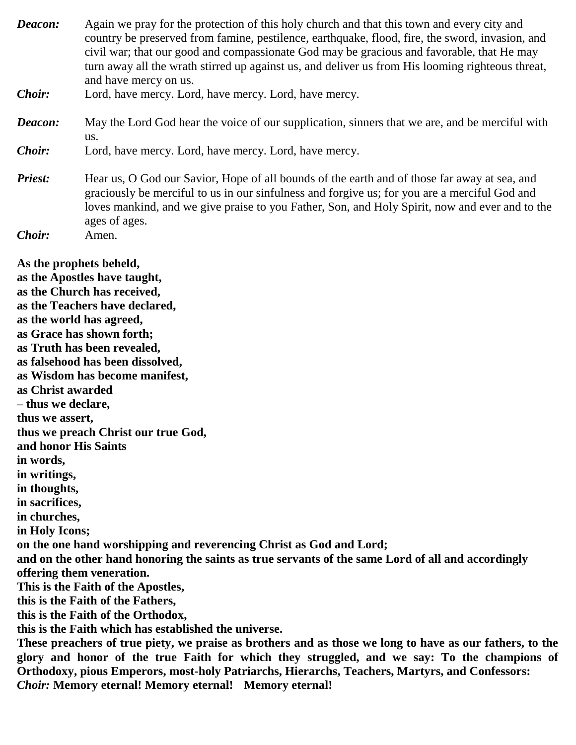*Deacon:* Again we pray for the protection of this holy church and that this town and every city and country be preserved from famine, pestilence, earthquake, flood, fire, the sword, invasion, and civil war; that our good and compassionate God may be gracious and favorable, that He may turn away all the wrath stirred up against us, and deliver us from His looming righteous threat, and have mercy on us.

- *Choir:* Lord, have mercy. Lord, have mercy. Lord, have mercy.
- *Deacon:* May the Lord God hear the voice of our supplication, sinners that we are, and be merciful with us.
- *Choir:* Lord, have mercy. Lord, have mercy. Lord, have mercy.
- *Priest:* Hear us, O God our Savior, Hope of all bounds of the earth and of those far away at sea, and graciously be merciful to us in our sinfulness and forgive us; for you are a merciful God and loves mankind, and we give praise to you Father, Son, and Holy Spirit, now and ever and to the ages of ages.
- *Choir:* Amen.

**As the prophets beheld, as the Apostles have taught, as the Church has received, as the Teachers have declared, as the world has agreed, as Grace has shown forth; as Truth has been revealed, as falsehood has been dissolved, as Wisdom has become manifest, as Christ awarded – thus we declare, thus we assert, thus we preach Christ our true God, and honor His Saints in words, in writings, in thoughts, in sacrifices, in churches, in Holy Icons; on the one hand worshipping and reverencing Christ as God and Lord; and on the other hand honoring the saints as true servants of the same Lord of all and accordingly offering them veneration. This is the Faith of the Apostles, this is the Faith of the Fathers, this is the Faith of the Orthodox, this is the Faith which has established the universe. These preachers of true piety, we praise as brothers and as those we long to have as our fathers, to the glory and honor of the true Faith for which they struggled, and we say: To the champions of Orthodoxy, pious Emperors, most-holy Patriarchs, Hierarchs, Teachers, Martyrs, and Confessors:**

*Choir:* **Memory eternal! Memory eternal! Memory eternal!**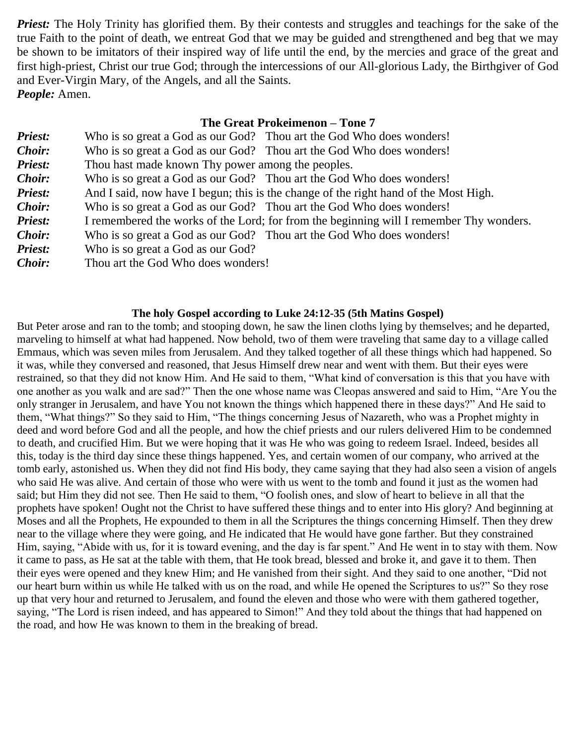*Priest:* The Holy Trinity has glorified them. By their contests and struggles and teachings for the sake of the true Faith to the point of death, we entreat God that we may be guided and strengthened and beg that we may be shown to be imitators of their inspired way of life until the end, by the mercies and grace of the great and first high-priest, Christ our true God; through the intercessions of our All-glorious Lady, the Birthgiver of God and Ever-Virgin Mary, of the Angels, and all the Saints. *People:* Amen.

### **The Great Prokeimenon – Tone 7**

| Who is so great a God as our God? Thou art the God Who does wonders!                    |
|-----------------------------------------------------------------------------------------|
| Who is so great a God as our God? Thou art the God Who does wonders!                    |
| Thou hast made known Thy power among the peoples.                                       |
| Who is so great a God as our God? Thou art the God Who does wonders!                    |
| And I said, now have I begun; this is the change of the right hand of the Most High.    |
| Who is so great a God as our God? Thou art the God Who does wonders!                    |
| I remembered the works of the Lord; for from the beginning will I remember Thy wonders. |
| Who is so great a God as our God? Thou art the God Who does wonders!                    |
| Who is so great a God as our God?                                                       |
| Thou art the God Who does wonders!                                                      |
|                                                                                         |

#### **The holy Gospel according to Luke 24:12-35 (5th Matins Gospel)**

But Peter arose and ran to the tomb; and stooping down, he saw the linen cloths lying by themselves; and he departed, marveling to himself at what had happened. Now behold, two of them were traveling that same day to a village called Emmaus, which was seven miles from Jerusalem. And they talked together of all these things which had happened. So it was, while they conversed and reasoned, that Jesus Himself drew near and went with them. But their eyes were restrained, so that they did not know Him. And He said to them, "What kind of conversation is this that you have with one another as you walk and are sad?" Then the one whose name was Cleopas answered and said to Him, "Are You the only stranger in Jerusalem, and have You not known the things which happened there in these days?" And He said to them, "What things?" So they said to Him, "The things concerning Jesus of Nazareth, who was a Prophet mighty in deed and word before God and all the people, and how the chief priests and our rulers delivered Him to be condemned to death, and crucified Him. But we were hoping that it was He who was going to redeem Israel. Indeed, besides all this, today is the third day since these things happened. Yes, and certain women of our company, who arrived at the tomb early, astonished us. When they did not find His body, they came saying that they had also seen a vision of angels who said He was alive. And certain of those who were with us went to the tomb and found it just as the women had said; but Him they did not see. Then He said to them, "O foolish ones, and slow of heart to believe in all that the prophets have spoken! Ought not the Christ to have suffered these things and to enter into His glory? And beginning at Moses and all the Prophets, He expounded to them in all the Scriptures the things concerning Himself. Then they drew near to the village where they were going, and He indicated that He would have gone farther. But they constrained Him, saying, "Abide with us, for it is toward evening, and the day is far spent." And He went in to stay with them. Now it came to pass, as He sat at the table with them, that He took bread, blessed and broke it, and gave it to them. Then their eyes were opened and they knew Him; and He vanished from their sight. And they said to one another, "Did not our heart burn within us while He talked with us on the road, and while He opened the Scriptures to us?" So they rose up that very hour and returned to Jerusalem, and found the eleven and those who were with them gathered together, saying, "The Lord is risen indeed, and has appeared to Simon!" And they told about the things that had happened on the road, and how He was known to them in the breaking of bread.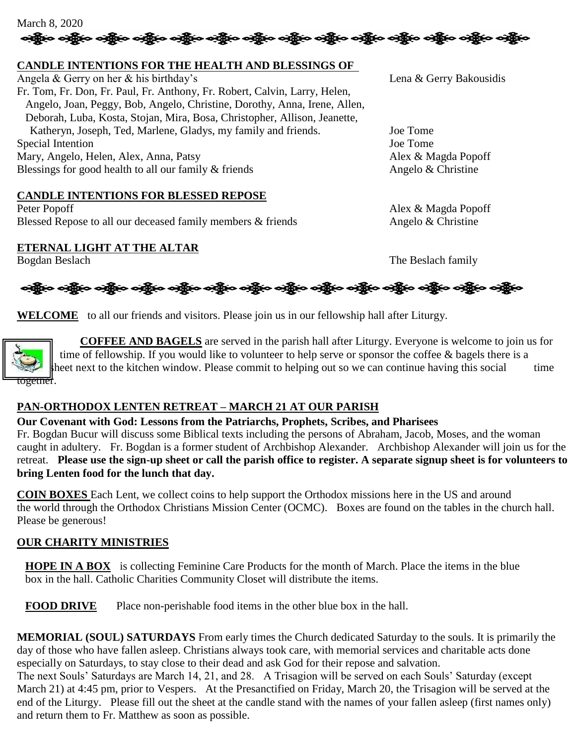

### **CANDLE INTENTIONS FOR THE HEALTH AND BLESSINGS OF**

Angela & Gerry on her & his birthday's Lena & Gerry Bakousidis Fr. Tom, Fr. Don, Fr. Paul, Fr. Anthony, Fr. Robert, Calvin, Larry, Helen, Angelo, Joan, Peggy, Bob, Angelo, Christine, Dorothy, Anna, Irene, Allen, Deborah, Luba, Kosta, Stojan, Mira, Bosa, Christopher, Allison, Jeanette, Katheryn, Joseph, Ted, Marlene, Gladys, my family and friends. Joe Tome Special Intention Joe Tome Mary, Angelo, Helen, Alex, Anna, Patsy Alex & Magda Popoff<br>Blessings for good health to all our family & friends Angelo & Christine Blessings for good health to all our family  $&$  friends

### **CANDLE INTENTIONS FOR BLESSED REPOSE**

Peter Popoff Alex & Magda Popoff Blessed Repose to all our deceased family members & friends Angelo & Christine

### **ETERNAL LIGHT AT THE ALTAR**

Bogdan Beslach The Beslach family

ခရွိက ခရွိက ခရွိက သို့သော သို့သည်။ ခရွိက ခရွိက ခရွိက ခရွိက သို့သည်။ သို့သည်။ ခရွိက ခရွိက ခရွိက

**WELCOME** to all our friends and visitors. Please join us in our fellowship hall after Liturgy.

 **COFFEE AND BAGELS** are served in the parish hall after Liturgy. Everyone is welcome to join us for time of fellowship. If you would like to volunteer to help serve or sponsor the coffee & bagels there is a sheet next to the kitchen window. Please commit to helping out so we can continue having this social time <del>togethel</del>'.

### **PAN-ORTHODOX LENTEN RETREAT – MARCH 21 AT OUR PARISH**

**Our Covenant with God: Lessons from the Patriarchs, Prophets, Scribes, and Pharisees** Fr. Bogdan Bucur will discuss some Biblical texts including the persons of Abraham, Jacob, Moses, and the woman caught in adultery. Fr. Bogdan is a former student of Archbishop Alexander. Archbishop Alexander will join us for the retreat. **Please use the sign-up sheet or call the parish office to register. A separate signup sheet is for volunteers to bring Lenten food for the lunch that day.**

**COIN BOXES** Each Lent, we collect coins to help support the Orthodox missions here in the US and around the world through the Orthodox Christians Mission Center (OCMC). Boxes are found on the tables in the church hall. Please be generous!

### **OUR CHARITY MINISTRIES**

**HOPE IN A BOX** is collecting Feminine Care Products for the month of March. Place the items in the blue box in the hall. Catholic Charities Community Closet will distribute the items.

**FOOD DRIVE** Place non-perishable food items in the other blue box in the hall.

**MEMORIAL (SOUL) SATURDAYS** From early times the Church dedicated Saturday to the souls. It is primarily the day of those who have fallen asleep. Christians always took care, with memorial services and charitable acts done especially on Saturdays, to stay close to their dead and ask God for their repose and salvation.

The next Souls' Saturdays are March 14, 21, and 28. A Trisagion will be served on each Souls' Saturday (except March 21) at 4:45 pm, prior to Vespers. At the Presanctified on Friday, March 20, the Trisagion will be served at the end of the Liturgy. Please fill out the sheet at the candle stand with the names of your fallen asleep (first names only) and return them to Fr. Matthew as soon as possible.